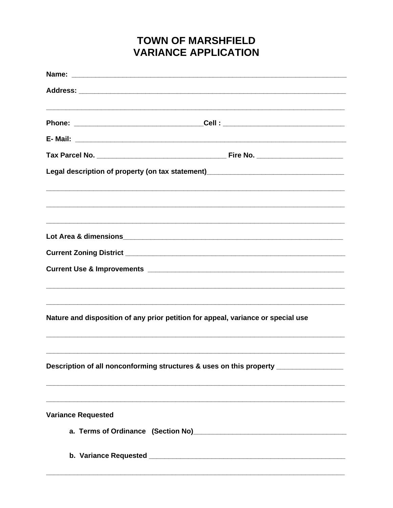## **TOWN OF MARSHFIELD VARIANCE APPLICATION**

| Legal description of property (on tax statement)________________________________                                                                   |
|----------------------------------------------------------------------------------------------------------------------------------------------------|
|                                                                                                                                                    |
|                                                                                                                                                    |
|                                                                                                                                                    |
|                                                                                                                                                    |
|                                                                                                                                                    |
| ,我们也不能在这里的人,我们也不能在这里的人,我们也不能在这里的人,我们也不能在这里的人,我们也不能在这里的人,我们也不能在这里的人,我们也不能在这里的人,我们也                                                                  |
| Nature and disposition of any prior petition for appeal, variance or special use                                                                   |
| Description of all nonconforming structures & uses on this property ____________                                                                   |
|                                                                                                                                                    |
| <u> 1989 - Jan Barnett, mars ann an t-Amhainn an t-Amhainn an t-Amhainn an t-Amhainn an t-Amhainn an t-Amhainn an</u><br><b>Variance Requested</b> |
|                                                                                                                                                    |
|                                                                                                                                                    |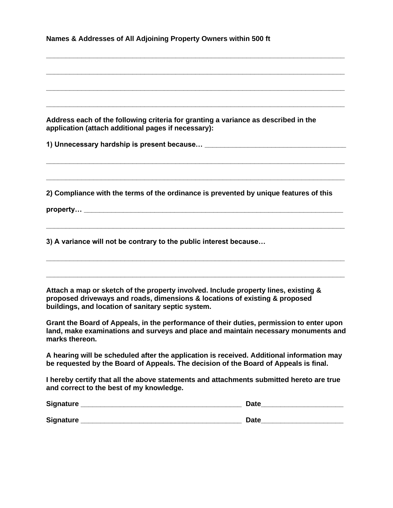|  | Names & Addresses of All Adjoining Property Owners within 500 ft |  |  |
|--|------------------------------------------------------------------|--|--|
|--|------------------------------------------------------------------|--|--|

**Address each of the following criteria for granting a variance as described in the application (attach additional pages if necessary):** 

**\_\_\_\_\_\_\_\_\_\_\_\_\_\_\_\_\_\_\_\_\_\_\_\_\_\_\_\_\_\_\_\_\_\_\_\_\_\_\_\_\_\_\_\_\_\_\_\_\_\_\_\_\_\_\_\_\_\_\_\_\_\_\_\_\_\_\_\_\_\_\_\_\_\_\_\_**

**\_\_\_\_\_\_\_\_\_\_\_\_\_\_\_\_\_\_\_\_\_\_\_\_\_\_\_\_\_\_\_\_\_\_\_\_\_\_\_\_\_\_\_\_\_\_\_\_\_\_\_\_\_\_\_\_\_\_\_\_\_\_\_\_\_\_\_\_\_\_\_\_\_\_\_\_**

**\_\_\_\_\_\_\_\_\_\_\_\_\_\_\_\_\_\_\_\_\_\_\_\_\_\_\_\_\_\_\_\_\_\_\_\_\_\_\_\_\_\_\_\_\_\_\_\_\_\_\_\_\_\_\_\_\_\_\_\_\_\_\_\_\_\_\_\_\_\_\_\_\_\_\_\_**

**\_\_\_\_\_\_\_\_\_\_\_\_\_\_\_\_\_\_\_\_\_\_\_\_\_\_\_\_\_\_\_\_\_\_\_\_\_\_\_\_\_\_\_\_\_\_\_\_\_\_\_\_\_\_\_\_\_\_\_\_\_\_\_\_\_\_\_\_\_\_\_\_\_\_\_\_**

**\_\_\_\_\_\_\_\_\_\_\_\_\_\_\_\_\_\_\_\_\_\_\_\_\_\_\_\_\_\_\_\_\_\_\_\_\_\_\_\_\_\_\_\_\_\_\_\_\_\_\_\_\_\_\_\_\_\_\_\_\_\_\_\_\_\_\_\_\_\_\_\_\_\_\_\_**

**\_\_\_\_\_\_\_\_\_\_\_\_\_\_\_\_\_\_\_\_\_\_\_\_\_\_\_\_\_\_\_\_\_\_\_\_\_\_\_\_\_\_\_\_\_\_\_\_\_\_\_\_\_\_\_\_\_\_\_\_\_\_\_\_\_\_\_\_\_\_\_\_\_\_\_\_**

**\_\_\_\_\_\_\_\_\_\_\_\_\_\_\_\_\_\_\_\_\_\_\_\_\_\_\_\_\_\_\_\_\_\_\_\_\_\_\_\_\_\_\_\_\_\_\_\_\_\_\_\_\_\_\_\_\_\_\_\_\_\_\_\_\_\_\_\_\_\_\_\_\_\_\_\_**

**\_\_\_\_\_\_\_\_\_\_\_\_\_\_\_\_\_\_\_\_\_\_\_\_\_\_\_\_\_\_\_\_\_\_\_\_\_\_\_\_\_\_\_\_\_\_\_\_\_\_\_\_\_\_\_\_\_\_\_\_\_\_\_\_\_\_\_\_\_\_\_\_\_\_\_\_**

**\_\_\_\_\_\_\_\_\_\_\_\_\_\_\_\_\_\_\_\_\_\_\_\_\_\_\_\_\_\_\_\_\_\_\_\_\_\_\_\_\_\_\_\_\_\_\_\_\_\_\_\_\_\_\_\_\_\_\_\_\_\_\_\_\_\_\_\_\_\_\_\_\_\_\_\_**

**1) Unnecessary hardship is present because… \_\_\_\_\_\_\_\_\_\_\_\_\_\_\_\_\_\_\_\_\_\_\_\_\_\_\_\_\_\_\_\_\_\_\_\_**

**2) Compliance with the terms of the ordinance is prevented by unique features of this**

property…

**3) A variance will not be contrary to the public interest because…** 

**Attach a map or sketch of the property involved. Include property lines, existing & proposed driveways and roads, dimensions & locations of existing & proposed buildings, and location of sanitary septic system.**

**Grant the Board of Appeals, in the performance of their duties, permission to enter upon land, make examinations and surveys and place and maintain necessary monuments and marks thereon.** 

**A hearing will be scheduled after the application is received. Additional information may be requested by the Board of Appeals. The decision of the Board of Appeals is final.** 

**I hereby certify that all the above statements and attachments submitted hereto are true and correct to the best of my knowledge.**

| Signature        | <b>Date</b> |
|------------------|-------------|
|                  |             |
| <b>Signature</b> | <b>Date</b> |